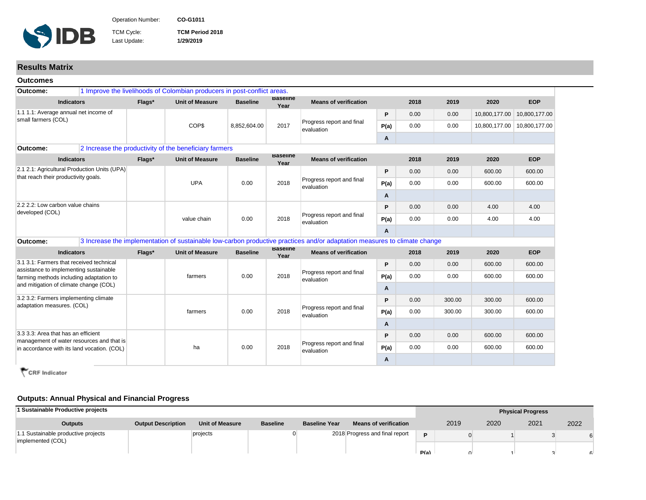

Operation Number: **CO-G1011 CO-G1011 Inter-American Development Bank - Inter-American Development Bank - IDB** 

TCM Cycle: **TCM Period 2018** Last Update: **1/29/2019**

**Results Matrix**

| <b>Outcomes</b>                                                                          |        |                                                                          |                 |                         |                                                                                                                           |      |      |        |               |               |
|------------------------------------------------------------------------------------------|--------|--------------------------------------------------------------------------|-----------------|-------------------------|---------------------------------------------------------------------------------------------------------------------------|------|------|--------|---------------|---------------|
| Outcome:                                                                                 |        | 1 Improve the livelihoods of Colombian producers in post-conflict areas. |                 |                         |                                                                                                                           |      |      |        |               |               |
| <b>Indicators</b>                                                                        | Flags* | <b>Unit of Measure</b>                                                   | <b>Baseline</b> | <b>Baseline</b><br>Year | <b>Means of verification</b>                                                                                              |      | 2018 | 2019   | 2020          | <b>EOP</b>    |
| 1.1 1.1: Average annual net income of<br>small farmers (COL)                             |        |                                                                          |                 |                         |                                                                                                                           | P    | 0.00 | 0.00   | 10,800,177.00 | 10,800,177.00 |
|                                                                                          |        | COP\$                                                                    | 8,852,604.00    | 2017                    | Progress report and final<br>evaluation                                                                                   | P(a) | 0.00 | 0.00   | 10,800,177.00 | 10,800,177.00 |
|                                                                                          |        |                                                                          |                 |                         |                                                                                                                           | Α    |      |        |               |               |
| Outcome:                                                                                 |        | 2 Increase the productivity of the beneficiary farmers                   |                 |                         |                                                                                                                           |      |      |        |               |               |
| <b>Indicators</b>                                                                        | Flags* | <b>Unit of Measure</b>                                                   | <b>Baseline</b> | <b>Baseline</b><br>Year | <b>Means of verification</b>                                                                                              |      | 2018 | 2019   | 2020          | <b>EOP</b>    |
| 2.1 2.1: Agricultural Production Units (UPA)<br>that reach their productivity goals.     |        |                                                                          |                 |                         |                                                                                                                           | P    | 0.00 | 0.00   | 600.00        | 600.00        |
|                                                                                          |        | <b>UPA</b>                                                               | 0.00            | 2018                    | Progress report and final<br>evaluation                                                                                   | P(a) | 0.00 | 0.00   | 600.00        | 600.00        |
|                                                                                          |        |                                                                          |                 |                         |                                                                                                                           | A    |      |        |               |               |
| 2.2 2.2: Low carbon value chains<br>developed (COL)                                      |        | value chain                                                              | 0.00            | 2018                    |                                                                                                                           | P    | 0.00 | 0.00   | 4.00          | 4.00          |
|                                                                                          |        |                                                                          |                 |                         | Progress report and final<br>evaluation                                                                                   | P(a) | 0.00 | 0.00   | 4.00          | 4.00          |
|                                                                                          |        |                                                                          |                 |                         |                                                                                                                           | Α    |      |        |               |               |
| Outcome:                                                                                 |        |                                                                          |                 |                         | 3 Increase the implementation of sustainable low-carbon productive practices and/or adaptation measures to climate change |      |      |        |               |               |
| <b>Indicators</b>                                                                        | Flags* | <b>Unit of Measure</b>                                                   | <b>Baseline</b> | <b>Baseline</b><br>Year | <b>Means of verification</b>                                                                                              |      | 2018 | 2019   | 2020          | <b>EOP</b>    |
| 3.1 3.1: Farmers that received technical                                                 |        |                                                                          |                 | 2018                    |                                                                                                                           | P    | 0.00 | 0.00   | 600.00        | 600.00        |
| assistance to implementing sustainable<br>farming methods including adaptation to        |        | farmers                                                                  | 0.00            |                         | Progress report and final<br>evaluation                                                                                   | P(a) | 0.00 | 0.00   | 600.00        | 600.00        |
| and mitigation of climate change (COL)                                                   |        |                                                                          |                 |                         |                                                                                                                           | A    |      |        |               |               |
| 3.2 3.2: Farmers implementing climate                                                    |        |                                                                          |                 |                         |                                                                                                                           | P    | 0.00 | 300.00 | 300.00        | 600.00        |
| adaptation measures. (COL)                                                               |        | farmers                                                                  | 0.00            | 2018                    | Progress report and final<br>evaluation                                                                                   | P(a) | 0.00 | 300.00 | 300.00        | 600.00        |
|                                                                                          |        |                                                                          |                 |                         |                                                                                                                           | A    |      |        |               |               |
| 3.3 3.3: Area that has an efficient                                                      |        |                                                                          |                 |                         |                                                                                                                           | P    | 0.00 | 0.00   | 600.00        | 600.00        |
| management of water resources and that is<br>in accordance with its land vocation. (COL) |        | ha                                                                       | 0.00            | 2018                    | Progress report and final<br>evaluation                                                                                   | P(a) | 0.00 | 0.00   | 600.00        | 600.00        |
|                                                                                          |        |                                                                          |                 |                         |                                                                                                                           |      |      |        |               |               |

CRF Indicator

## **Outputs: Annual Physical and Financial Progress**

| I Sustainable Productive projects                        |                           |                        |                 |                      |                                |      |      |      | <b>Physical Progress</b> |      |
|----------------------------------------------------------|---------------------------|------------------------|-----------------|----------------------|--------------------------------|------|------|------|--------------------------|------|
| <b>Outputs</b>                                           | <b>Output Description</b> | <b>Unit of Measure</b> | <b>Baseline</b> | <b>Baseline Year</b> | <b>Means of verification</b>   |      | 2019 | 2020 | 2021                     | 2022 |
| 1.1 Sustainable productive projects<br>implemented (COL) |                           | projects               |                 |                      | 2018 Progress and final report | D    |      |      |                          |      |
|                                                          |                           |                        |                 |                      |                                | P(a) |      |      |                          |      |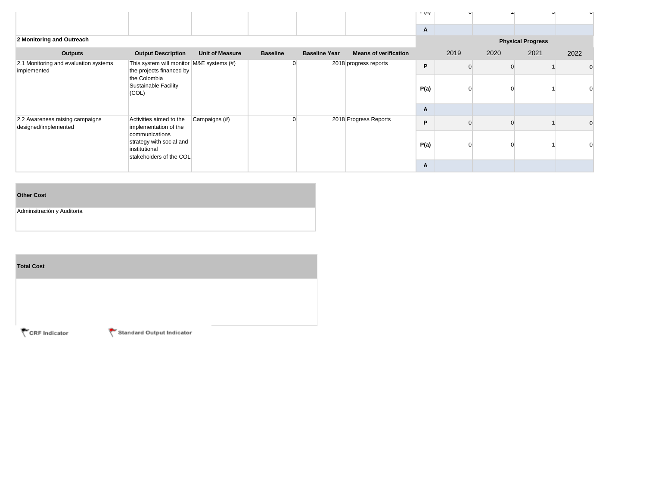|                                                         |                                                                                        |                        |                 |                      |                              | $\mathbf{u}$ |      |      |                          |      |
|---------------------------------------------------------|----------------------------------------------------------------------------------------|------------------------|-----------------|----------------------|------------------------------|--------------|------|------|--------------------------|------|
|                                                         |                                                                                        |                        |                 |                      |                              | A            |      |      |                          |      |
| 2 Monitoring and Outreach                               |                                                                                        |                        |                 |                      |                              |              |      |      | <b>Physical Progress</b> |      |
| Outputs                                                 | <b>Output Description</b>                                                              | <b>Unit of Measure</b> | <b>Baseline</b> | <b>Baseline Year</b> | <b>Means of verification</b> |              | 2019 | 2020 | 2021                     | 2022 |
| 2.1 Monitoring and evaluation systems<br>implemented    | This system will monitor M&E systems (#)<br>the projects financed by                   |                        |                 |                      | 2018 progress reports        | P            |      |      |                          |      |
|                                                         | the Colombia<br>Sustainable Facility<br>(COL)                                          |                        |                 |                      |                              | P(a)         |      |      |                          |      |
|                                                         |                                                                                        |                        |                 |                      |                              | A            |      |      |                          |      |
| 2.2 Awareness raising campaigns<br>designed/implemented | Activities aimed to the<br>implementation of the                                       | Campaigns (#)          |                 |                      | 2018 Progress Reports        | P            |      |      |                          |      |
|                                                         | communications<br>strategy with social and<br>institutional<br>stakeholders of the COL |                        |                 |                      |                              | P(a)         |      |      |                          |      |
|                                                         |                                                                                        |                        |                 |                      |                              | A            |      |      |                          |      |

## **Other Cost**

Adminsitración y Auditoría

| <b>Total Cost</b> |        |
|-------------------|--------|
|                   |        |
|                   | $\sim$ |

CRF Indicator

Standard Output Indicator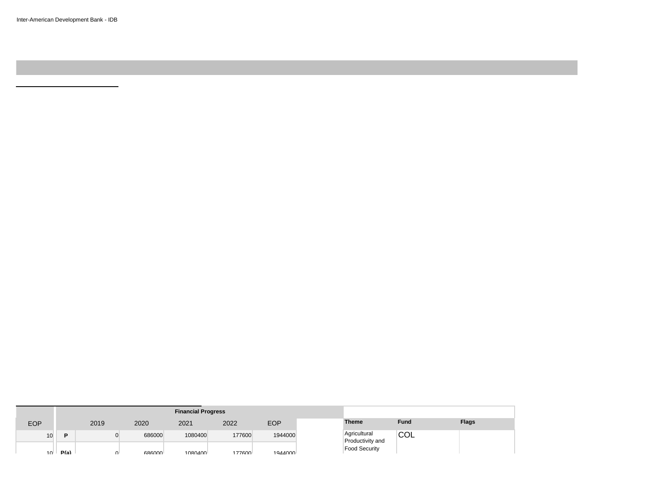Inter-American Development Bank - IDB

|            |      |              |               | <b>Financial Progress</b> |        |            |  |                                  |            |              |
|------------|------|--------------|---------------|---------------------------|--------|------------|--|----------------------------------|------------|--------------|
| <b>EOP</b> |      | 2019         | 2020          | 2021                      | 2022   | <b>EOP</b> |  | <b>Theme</b>                     | Fund       | <b>Flags</b> |
| 10         | Ð    |              | 686000        | 1080400                   | 177600 | 1944000    |  | Agricultural<br>Productivity and | <b>COL</b> |              |
| ี่ 1∩⊫     | P(a) | $\mathbf{u}$ | <b>GRG000</b> | 1080400                   | 177600 | 1044000    |  | <b>Food Security</b>             |            |              |